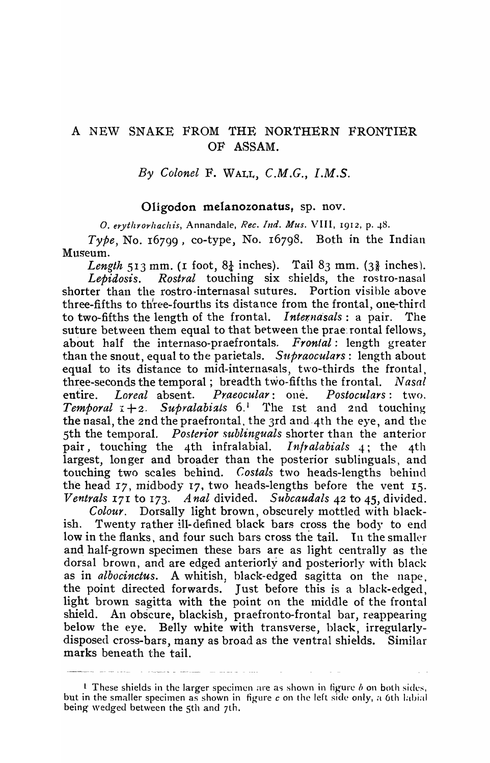## A NEW SNAKE FROM THE NORTHERN FRONTIER OF ASSAM.

By *Colonel* F. WALL, *C.M.G., I.M.S.* 

## Oligodon melanozonatus, sp. nov.

O. erythrorhachis, Annandale, *Rec. Ind. Mus.* VIII, 1912, p. 48.

*Type,* No. 16799, co-type, No. 16798. Both in the Indian Museum.

*Length* 513 mm. (1 foot,  $8\frac{1}{4}$  inches). Tail  $8\frac{1}{3}$  mm. ( $3\frac{3}{8}$  inches). *Lepidosis. Rostral* touching six shields, the rostro-nasal shorter than the rostro-internasal sutures. Portion visible above three-fifths to three-fourths its distance from the frontal, one-third to two-fifths the length of the frontal. *Internasals*: a pair. The suture between them equal to that between the prae: rontal fellows, about half the internaso-praefrontals. *Frontal:* length greater than the snout, equal to the parietals. Supraoculars: length about equal to its distance to mid-internasals, two-thirds the frontal, three-seconds the temporal; breadth two-fifths the frontal. *Nasal*  entire. *Loreal* absent. *Praeocular*: one. *Postoculars*: two. *Temporal*  $I + 2$ . *Supralabials*  $6.1$  The Ist and 2nd touching the nasal, the 2nd the praefrontal. the 3rd and'4th the eye, and the 5th the temporal. *Posterior sublinguals* shorter than the anterior pair, touching the 4th infralabial. *Infralabials* 4; the 4th largest, longer and broader than the posterior sublinguals, and touching two scales behind. *Costals* two heads-lengths behind the head  $17$ , midbody  $17$ , two heads-lengths before the vent  $15$ . *Ventrals 171* to 173. *A nal* divided. *Subcaudals* 42 to 45, divided.

*Colour.* Dorsally light brown, obscurely mottled with blackish. Twenty rather ill- defined black bars cross the body to end low in the flanks, and four such bars cross the tail. In the smaller and half-grown specimen these bars are as light centrally as the dorsal brown, and are edged anteriorly and posteriorly with black as in *albocinctus*. A whitish, black-edged sagitta on the nape, the point directed forwards. Just before this is a black-edged, light brown sagitta with the point on the middle of the frontal shield. An obscure, blackish, praefronto-frontal bar, reappearing below the eye. Belly white with transverse, black, irregularlydisposed cross-bars, many as broad as the ventral shields. Similar marks beneath the tail.

1 These shields in the larger specimen are as shown in figure  $b$  on both sides, but in the smaller specimen as shown in figure *c* on the left side only, a 6th labial being wedged between the 5th and 7th.